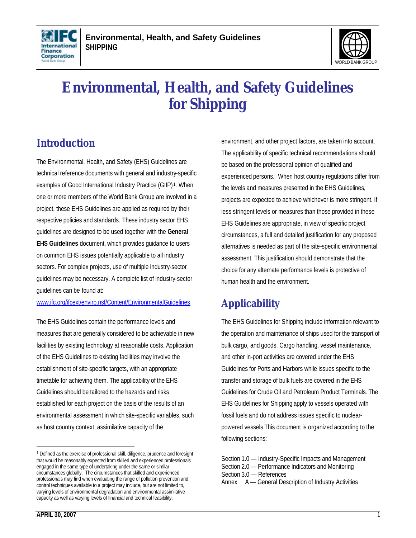



# **Environmental, Health, and Safety Guidelines for Shipping**

# **Introduction**

The Environmental, Health, and Safety (EHS) Guidelines are technical reference documents with general and industry-specific examples of Good International Industry Practice (GIIP)<sup>1</sup>. When one or more members of the World Bank Group are involved in a project, these EHS Guidelines are applied as required by their respective policies and standards. These industry sector EHS guidelines are designed to be used together with the **General EHS Guidelines** document, which provides guidance to users on common EHS issues potentially applicable to all industry sectors. For complex projects, use of multiple industry-sector guidelines may be necessary. A complete list of industry-sector guidelines can be found at:

www.ifc.org/ifcext/enviro.nsf/Content/EnvironmentalGuidelines

The EHS Guidelines contain the performance levels and measures that are generally considered to be achievable in new facilities by existing technology at reasonable costs. Application of the EHS Guidelines to existing facilities may involve the establishment of site-specific targets, with an appropriate timetable for achieving them. The applicability of the EHS Guidelines should be tailored to the hazards and risks established for each project on the basis of the results of an environmental assessment in which site-specific variables, such as host country context, assimilative capacity of the

environment, and other project factors, are taken into account. The applicability of specific technical recommendations should be based on the professional opinion of qualified and experienced persons. When host country regulations differ from the levels and measures presented in the EHS Guidelines, projects are expected to achieve whichever is more stringent. If less stringent levels or measures than those provided in these EHS Guidelines are appropriate, in view of specific project circumstances, a full and detailed justification for any proposed alternatives is needed as part of the site-specific environmental assessment. This justification should demonstrate that the choice for any alternate performance levels is protective of human health and the environment.

# **Applicability**

The EHS Guidelines for Shipping include information relevant to the operation and maintenance of ships used for the transport of bulk cargo, and goods. Cargo handling, vessel maintenance, and other in-port activities are covered under the EHS Guidelines for Ports and Harbors while issues specific to the transfer and storage of bulk fuels are covered in the EHS Guidelines for Crude Oil and Petroleum Product Terminals. The EHS Guidelines for Shipping apply to vessels operated with fossil fuels and do not address issues specific to nuclearpowered vessels.This document is organized according to the following sections:

<sup>&</sup>lt;sup>1</sup> Defined as the exercise of professional skill, diligence, prudence and foresight that would be reasonably expected from skilled and experienced professionals engaged in the same type of undertaking under the same or similar circumstances globally. The circumstances that skilled and experienced professionals may find when evaluating the range of pollution prevention and control techniques available to a project may include, but are not limited to, varying levels of environmental degradation and environmental assimilative capacity as well as varying levels of financial and technical feasibility.

Section 1.0 — Industry-Specific Impacts and Management Section 2.0 — Performance Indicators and Monitoring

Section 3.0 — References

Annex A — General Description of Industry Activities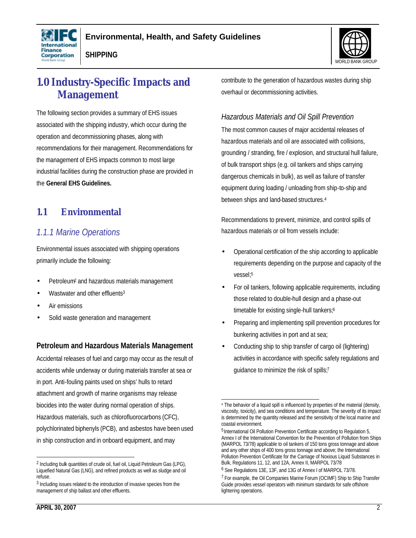



# **1.0 Industry-Specific Impacts and Management**

The following section provides a summary of EHS issues associated with the shipping industry, which occur during the operation and decommissioning phases, along with recommendations for their management. Recommendations for the management of EHS impacts common to most large industrial facilities during the construction phase are provided in the **General EHS Guidelines.**

## **1.1 Environmental**

### *1.1.1 Marine Operations*

Environmental issues associated with shipping operations primarily include the following:

- Petroleum<sup>2</sup> and hazardous materials management
- Wastwater and other effluents<sup>3</sup>
- Air emissions
- Solid waste generation and management

#### **Petroleum and Hazardous Materials Management**

Accidental releases of fuel and cargo may occur as the result of accidents while underway or during materials transfer at sea or in port. Anti-fouling paints used on ships' hulls to retard attachment and growth of marine organisms may release biocides into the water during normal operation of ships. Hazardous materials, such as chlorofluorocarbons (CFC), polychlorinated biphenyls (PCB), and asbestos have been used in ship construction and in onboard equipment, and may

contribute to the generation of hazardous wastes during ship overhaul or decommissioning activities.

#### *Hazardous Materials and Oil Spill Prevention*

The most common causes of major accidental releases of hazardous materials and oil are associated with collisions, grounding / stranding, fire / explosion, and structural hull failure, of bulk transport ships (e.g. oil tankers and ships carrying dangerous chemicals in bulk), as well as failure of transfer equipment during loading / unloading from ship-to-ship and between ships and land-based structures.<sup>4</sup>

Recommendations to prevent, minimize, and control spills of hazardous materials or oil from vessels include:

- Operational certification of the ship according to applicable requirements depending on the purpose and capacity of the vessel; 5
- For oil tankers, following applicable requirements, including those related to double-hull design and a phase-out timetable for existing single-hull tankers;<sup>6</sup>
- Preparing and implementing spill prevention procedures for bunkering activities in port and at sea;
- Conducting ship to ship transfer of cargo oil (lightering) activities in accordance with specific safety regulations and guidance to minimize the risk of spills;7

<sup>2</sup> Including bulk quantities of crude oil, fuel oil, Liquid Petroleum Gas (LPG), Liquefied Natural Gas (LNG), and refined products as well as sludge and oil refuse.

<sup>&</sup>lt;sup>3</sup> Including issues related to the introduction of invasive species from the management of ship ballast and other effluents.

 4 The behavior of a liquid spill is influenced by properties of the material (density, viscosity, toxicity), and sea conditions and temperature. The severity of its impact is determined by the quantity released and the sensitivity of the local marine and coastal environment.

<sup>&</sup>lt;sup>5</sup> International Oil Pollution Prevention Certificate according to Regulation 5, Annex I of the International Convention for the Prevention of Pollution from Ships (MARPOL 73/78) applicable to oil tankers of 150 tons gross tonnage and above and any other ships of 400 tons gross tonnage and above; the International Pollution Prevention Certificate for the Carriage of Noxious Liquid Substances in Bulk, Regulations 11, 12, and 12A, Annex II, MARPOL 73/78

<sup>6</sup> See Regulations 13E, 13F, and 13G of Annex I of MARPOL 73/78.

<sup>&</sup>lt;sup>7</sup> For example, the Oil Companies Marine Forum (OCIMF) Ship to Ship Transfer Guide provides vessel operators with minimum standards for safe offshore lightering operations.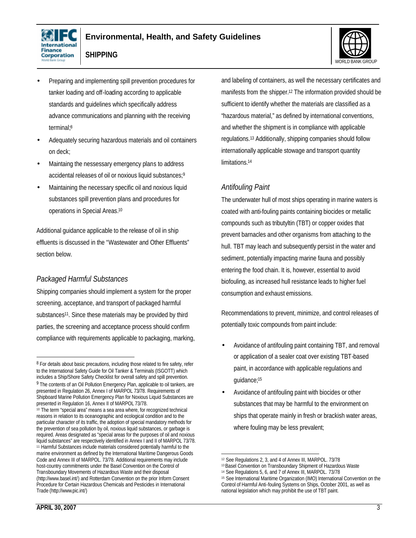



- Preparing and implementing spill prevention procedures for tanker loading and off-loading according to applicable standards and guidelines which specifically address advance communications and planning with the receiving terminal;<sup>8</sup>
- Adequately securing hazardous materials and oil containers on deck;
- Maintaing the nessessary emergency plans to address accidental releases of oil or noxious liquid substances;<sup>9</sup>
- Maintaining the necessary specific oil and noxious liquid substances spill prevention plans and procedures for operations in Special Areas.<sup>10</sup>

Additional guidance applicable to the release of oil in ship effluents is discussed in the "Wastewater and Other Effluents" section below.

#### *Packaged Harmful Substances*

Shipping companies should implement a system for the proper screening, acceptance, and transport of packaged harmful substances<sup>11</sup>. Since these materials may be provided by third parties, the screening and acceptance process should confirm compliance with requirements applicable to packaging, marking, and labeling of containers, as well the necessary certificates and manifests from the shipper.<sup>12</sup> The information provided should be sufficient to identify whether the materials are classified as a "hazardous material," as defined by international conventions, and whether the shipment is in compliance with applicable regulations.13 Additionally, shipping companies should follow internationally applicable stowage and transport quantity limitations.<sup>14</sup>

#### *Antifouling Paint*

The underwater hull of most ships operating in marine waters is coated with anti-fouling paints containing biocides or metallic compounds such as tributyltin (TBT) or copper oxides that prevent barnacles and other organisms from attaching to the hull. TBT may leach and subsequently persist in the water and sediment, potentially impacting marine fauna and possibly entering the food chain. It is, however, essential to avoid biofouling, as increased hull resistance leads to higher fuel consumption and exhaust emissions.

Recommendations to prevent, minimize, and control releases of potentially toxic compounds from paint include:

- Avoidance of antifouling paint containing TBT, and removal or application of a sealer coat over existing TBT-based paint, in accordance with applicable regulations and guidance;<sup>15</sup>
- Avoidance of antifouling paint with biocides or other substances that may be harmful to the environment on ships that operate mainly in fresh or brackish water areas, where fouling may be less prevalent;

<sup>&</sup>lt;sup>8</sup> For details about basic precautions, including those related to fire safety, refer to the International Safety Guide for Oil Tanker & Terminals (ISGOTT) which includes a Ship/Shore Safety Checklist for overall safety and spill prevention. 9 The contents of an Oil Pollution Emergency Plan, applicable to oil tankers, are presented in Regulation 26, Annex I of MARPOL 73/78. Requirements of Shipboard Marine Pollution Emergency Plan for Noxious Liquid Substances are presented in Regulation 16, Annex II of MARPOL 73/78.

<sup>10</sup> The term "special area" means a sea area where, for recognized technical reasons in relation to its oceanographic and ecological condition and to the particular character of its traffic, the adoption of special mandatory methods for the prevention of sea pollution by oil, noxious liquid substances, or garbage is required. Areas designated as "special areas for the purposes of oil and noxious liquid substances" are respectively identified in Annex I and II of MARPOL 73/78. <sup>11</sup> Harmful Substances include materials considered potentially harmful to the marine environment as defined by the International Maritime Dangerous Goods Code and Annex III of MARPOL. 73/78. Additional requirements may include host-country commitments under the Basel Convention on the Control of Transboundary Movements of Hazardous Waste and their disposal (http://www.basel.int/) and Rotterdam Convention on the prior Inform Consent Procedure for Certain Hazardous Chemicals and Pesticides in International Trade (http://www.pic.int/)

 <sup>12</sup> See Regulations 2, 3, and 4 of Annex III, MARPOL. 73/78

<sup>13</sup> Basel Convention on Transboundary Shipment of Hazardous Waste

<sup>14</sup> See Regulations 5, 6, and 7 of Annex III, MARPOL. 73/78

<sup>15</sup> See International Maritime Organization (IMO) International Convention on the Control of Harmful Anti-fouling Systems on Ships, October 2001, as well as national legislation which may prohibit the use of TBT paint.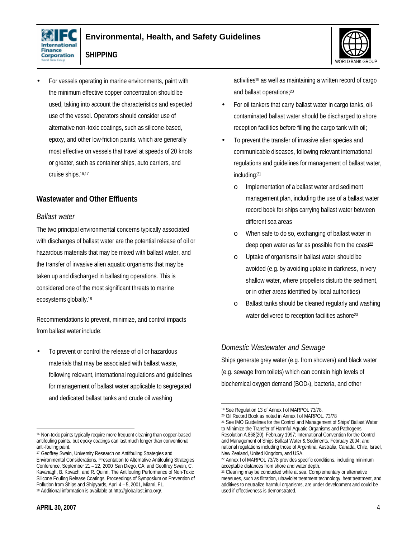





• For vessels operating in marine environments, paint with the minimum effective copper concentration should be used, taking into account the characteristics and expected use of the vessel. Operators should consider use of alternative non-toxic coatings, such as silicone-based, epoxy, and other low-friction paints, which are generally most effective on vessels that travel at speeds of 20 knots or greater, such as container ships, auto carriers, and cruise ships.16,17

#### **Wastewater and Other Effluents**

#### *Ballast water*

The two principal environmental concerns typically associated with discharges of ballast water are the potential release of oil or hazardous materials that may be mixed with ballast water, and the transfer of invasive alien aquatic organisms that may be taken up and discharged in ballasting operations. This is considered one of the most significant threats to marine ecosystems globally.<sup>18</sup>

Recommendations to prevent, minimize, and control impacts from ballast water include:

• To prevent or control the release of oil or hazardous materials that may be associated with ballast waste, following relevant, international regulations and guidelines for management of ballast water applicable to segregated and dedicated ballast tanks and crude oil washing

activities<sup>19</sup> as well as maintaining a written record of cargo and ballast operations;<sup>20</sup>

- For oil tankers that carry ballast water in cargo tanks, oilcontaminated ballast water should be discharged to shore reception facilities before filling the cargo tank with oil;
- To prevent the transfer of invasive alien species and communicable diseases, following relevant international regulations and guidelines for management of ballast water, including:<sup>21</sup>
	- o Implementation of a ballast water and sediment management plan, including the use of a ballast water record book for ships carrying ballast water between different sea areas
	- o When safe to do so, exchanging of ballast water in deep open water as far as possible from the coast<sup>22</sup>
	- o Uptake of organisms in ballast water should be avoided (e.g. by avoiding uptake in darkness, in very shallow water, where propellers disturb the sediment, or in other areas identified by local authorities)
	- o Ballast tanks should be cleaned regularly and washing water delivered to reception facilities ashore<sup>23</sup>

#### *Domestic Wastewater and Sewage*

Ships generate grey water (e.g. from showers) and black water (e.g. sewage from toilets) which can contain high levels of biochemical oxygen demand (BOD5), bacteria, and other

 <sup>16</sup> Non-toxic paints typically require more frequent cleaning than copper-based antifouling paints, but epoxy coatings can last much longer than conventional anti-fouling paint.

<sup>&</sup>lt;sup>17</sup> Geoffrey Swain, University Research on Antifouling Strategies and Environmental Considerations, Presentation to Alternative Antifouling Strategies Conference, September 21 – 22, 2000, San Diego, CA; and Geoffrey Swain, C. Kavanagh, B. Kovach, and R. Quinn, The Antifouling Performance of Non-Toxic Silicone Fouling Release Coatings, Proceedings of Symposium on Prevention of Pollution from Ships and Shipyards, April 4 – 5, 2001, Miami, FL. <sup>18</sup> Additional information is available at http://globallast.imo.org/.

<sup>19</sup> See Regulation 13 of Annex I of MARPOL 73/78.

<sup>20</sup> Oil Record Book as noted in Annex I of MARPOL. 73/78

<sup>21</sup> See IMO Guidelines for the Control and Management of Ships' Ballast Water to Minimize the Transfer of Harmful Aquatic Organisms and Pathogens, Resolution A.868(20), February 1997; International Convention for the Control and Management of Ships Ballast Water & Sediments, February 2004; and national regulations including those of Argentina, Australia, Canada, Chile, Israel, New Zealand, United Kingdom, and USA.

<sup>22</sup> Annex I of MARPOL 73/78 provides specific conditions, including minimum acceptable distances from shore and water depth.

<sup>&</sup>lt;sup>23</sup> Cleaning may be conducted while at sea. Complementary or alternative measures, such as filtration, ultraviolet treatment technology, heat treatment, and additives to neutralize harmful organisms, are under development and could be used if effectiveness is demonstrated.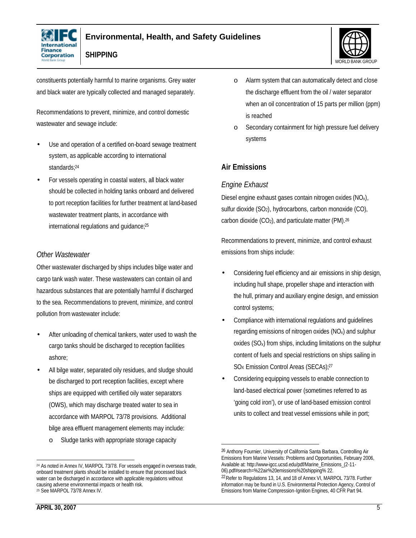



constituents potentially harmful to marine organisms. Grey water and black water are typically collected and managed separately.

Recommendations to prevent, minimize, and control domestic wastewater and sewage include:

- Use and operation of a certified on-board sewage treatment system, as applicable according to international standards;<sup>24</sup>
- For vessels operating in coastal waters, all black water should be collected in holding tanks onboard and delivered to port reception facilities for further treatment at land-based wastewater treatment plants, in accordance with international regulations and guidance;<sup>25</sup>

#### *Other Wastewater*

Other wastewater discharged by ships includes bilge water and cargo tank wash water. These wastewaters can contain oil and hazardous substances that are potentially harmful if discharged to the sea. Recommendations to prevent, minimize, and control pollution from wastewater include:

- After unloading of chemical tankers, water used to wash the cargo tanks should be discharged to reception facilities ashore;
- All bilge water, separated oily residues, and sludge should be discharged to port reception facilities, except where ships are equipped with certified oily water separators (OWS), which may discharge treated water to sea in accordance with MARPOL 73/78 provisions. Additional bilge area effluent management elements may include:
	- o Sludge tanks with appropriate storage capacity

**APRIL 30, 2007** 5

- o Alarm system that can automatically detect and close the discharge effluent from the oil / water separator when an oil concentration of 15 parts per million (ppm) is reached
- o Secondary containment for high pressure fuel delivery systems

#### **Air Emissions**

#### *Engine Exhaust*

Diesel engine exhaust gases contain nitrogen oxides (NOx), sulfur dioxide  $(SO<sub>2</sub>)$ , hydrocarbons, carbon monoxide  $(CO)$ , carbon dioxide (CO<sub>2</sub>), and particulate matter (PM).<sup>26</sup>

Recommendations to prevent, minimize, and control exhaust emissions from ships include:

- Considering fuel efficiency and air emissions in ship design, including hull shape, propeller shape and interaction with the hull, primary and auxiliary engine design, and emission control systems;
- Compliance with international regulations and guidelines regarding emissions of nitrogen oxides (NOx) and sulphur oxides (SOx) from ships, including limitations on the sulphur content of fuels and special restrictions on ships sailing in SO<sub>x</sub> Emission Control Areas (SECAs);<sup>27</sup>
- Considering equipping vessels to enable connection to land-based electrical power (sometimes referred to as 'going cold iron'), or use of land-based emission control units to collect and treat vessel emissions while in port;

 <sup>24</sup> As noted in Annex IV, MARPOL 73/78. For vessels engaged in overseas trade, onboard treatment plants should be installed to ensure that processed black water can be discharged in accordance with applicable regulations without causing adverse environmental impacts or health risk. <sup>25</sup> See MARPOL 73/78 Annex IV.

<sup>26</sup> Anthony Fournier, University of California Santa Barbara, Controlling Air Emissions from Marine Vessels: Problems and Opportunities, February 2006, Available at: http://www-igcc.ucsd.edu/pdf/Marine\_Emissions\_(2-11- 06).pdf#search=%22air%20emissions%20shipping% 22.

<sup>22</sup>Refer to Regulations 13, 14, and 18 of Annex VI, MARPOL 73/78. Further information may be found in U.S. Environmental Protection Agency, Control of Emissions from Marine Compression-Ignition Engines, 40 CFR Part 94.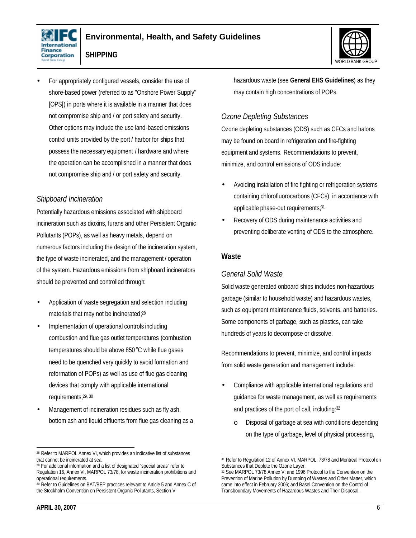





• For appropriately configured vessels, consider the use of shore-based power (referred to as "Onshore Power Supply" [OPS]) in ports where it is available in a manner that does not compromise ship and / or port safety and security. Other options may include the use land-based emissions control units provided by the port / harbor for ships that possess the necessary equipment / hardware and where the operation can be accomplished in a manner that does not compromise ship and / or port safety and security.

#### *Shipboard Incineration*

Potentially hazardous emissions associated with shipboard incineration such as dioxins, furans and other Persistent Organic Pollutants (POPs), as well as heavy metals, depend on numerous factors including the design of the incineration system, the type of waste incinerated, and the management / operation of the system. Hazardous emissions from shipboard incinerators should be prevented and controlled through:

- Application of waste segregation and selection including materials that may not be incinerated; 28
- Implementation of operational controls including combustion and flue gas outlet temperatures (combustion temperatures should be above 850°C while flue gases need to be quenched very quickly to avoid formation and reformation of POPs) as well as use of flue gas cleaning devices that comply with applicable international requirements;29, <sup>30</sup>
- Management of incineration residues such as fly ash, bottom ash and liquid effluents from flue gas cleaning as a

hazardous waste (see **General EHS Guidelines**) as they may contain high concentrations of POPs.

#### *Ozone Depleting Substances*

Ozone depleting substances (ODS) such as CFCs and halons may be found on board in refrigeration and fire-fighting equipment and systems. Recommendations to prevent, minimize, and control emissions of ODS include:

- Avoiding installation of fire fighting or refrigeration systems containing chlorofluorocarbons (CFCs), in accordance with applicable phase-out requirements;<sup>31</sup>
- Recovery of ODS during maintenance activities and preventing deliberate venting of ODS to the atmosphere.

#### **Waste**

#### *General Solid Waste*

Solid waste generated onboard ships includes non-hazardous garbage (similar to household waste) and hazardous wastes, such as equipment maintenance fluids, solvents, and batteries. Some components of garbage, such as plastics, can take hundreds of years to decompose or dissolve.

Recommendations to prevent, minimize, and control impacts from solid waste generation and management include:

- Compliance with applicable international regulations and guidance for waste management, as well as requirements and practices of the port of call, including:<sup>32</sup>
	- o Disposal of garbage at sea with conditions depending on the type of garbage, level of physical processing,

 <sup>28</sup> Refer to MARPOL Annex VI, which provides an indicative list of substances that cannot be incinerated at sea.

<sup>29</sup> For additional information and a list of designated "special areas" refer to Regulation 16, Annex VI, MARPOL 73/78, for waste incineration prohibitions and operational requirements.

<sup>&</sup>lt;sup>30</sup> Refer to Guidelines on BAT/BEP practices relevant to Article 5 and Annex C of the Stockholm Convention on Persistent Organic Pollutants, Section V

 <sup>31</sup> Refer to Regulation 12 of Annex VI, MARPOL. 73/78 and Montreal Protocol on Substances that Deplete the Ozone Layer.

<sup>32</sup> See MARPOL 73/78 Annex V; and 1996 Protocol to the Convention on the Prevention of Marine Pollution by Dumping of Wastes and Other Matter, which came into effect in February 2006; and Basel Convention on the Control of Transboundary Movements of Hazardous Wastes and Their Disposal.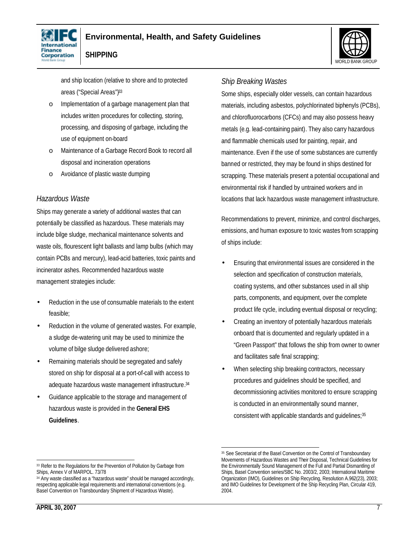



and ship location (relative to shore and to protected areas ("Special Areas")<sup>33</sup>

- o Implementation of a garbage management plan that includes written procedures for collecting, storing, processing, and disposing of garbage, including the use of equipment on-board
- o Maintenance of a Garbage Record Book to record all disposal and incineration operations
- o Avoidance of plastic waste dumping

#### *Hazardous Waste*

Ships may generate a variety of additional wastes that can potentially be classified as hazardous. These materials may include bilge sludge, mechanical maintenance solvents and waste oils, flourescent light ballasts and lamp bulbs (which may contain PCBs and mercury), lead-acid batteries, toxic paints and incinerator ashes. Recommended hazardous waste management strategies include:

- Reduction in the use of consumable materials to the extent feasible;
- Reduction in the volume of generated wastes. For example, a sludge de-watering unit may be used to minimize the volume of bilge sludge delivered ashore;
- Remaining materials should be segregated and safely stored on ship for disposal at a port-of-call with access to adequate hazardous waste management infrastructure. 34
- Guidance applicable to the storage and management of hazardous waste is provided in the **General EHS Guidelines**.

#### *Ship Breaking Wastes*

Some ships, especially older vessels, can contain hazardous materials, including asbestos, polychlorinated biphenyls (PCBs), and chlorofluorocarbons (CFCs) and may also possess heavy metals (e.g. lead-containing paint). They also carry hazardous and flammable chemicals used for painting, repair, and maintenance. Even if the use of some substances are currently banned or restricted, they may be found in ships destined for scrapping. These materials present a potential occupational and environmental risk if handled by untrained workers and in locations that lack hazardous waste management infrastructure.

WORLD BANK GROUP

Recommendations to prevent, minimize, and control discharges, emissions, and human exposure to toxic wastes from scrapping of ships include:

- Ensuring that environmental issues are considered in the selection and specification of construction materials, coating systems, and other substances used in all ship parts, components, and equipment, over the complete product life cycle, including eventual disposal or recycling;
- Creating an inventory of potentially hazardous materials onboard that is documented and regularly updated in a "Green Passport" that follows the ship from owner to owner and facilitates safe final scrapping;
- When selecting ship breaking contractors, necessary procedures and guidelines should be specified, and decommissioning activities monitored to ensure scrapping is conducted in an environmentally sound manner, consistent with applicable standards and guidelines;<sup>35</sup>

<sup>33</sup> Refer to the Regulations for the Prevention of Pollution by Garbage from Ships, Annex V of MARPOL. 73/78

<sup>34</sup> Any waste classified as a "hazardous waste" should be managed accordingly, respecting applicable legal requirements and international conventions (e.g. Basel Convention on Transboundary Shipment of Hazardous Waste).

 <sup>35</sup> See Secretariat of the Basel Convention on the Control of Transboundary Movements of Hazardous Wastes and Their Disposal, Technical Guidelines for the Environmentally Sound Management of the Full and Partial Dismantling of Ships, Basel Convention series/SBC No. 2003/2, 2003; International Maritime Organization (IMO), Guidelines on Ship Recycling, Resolution A.962(23), 2003; and IMO Guidelines for Development of the Ship Recycling Plan, Circular 419, 2004.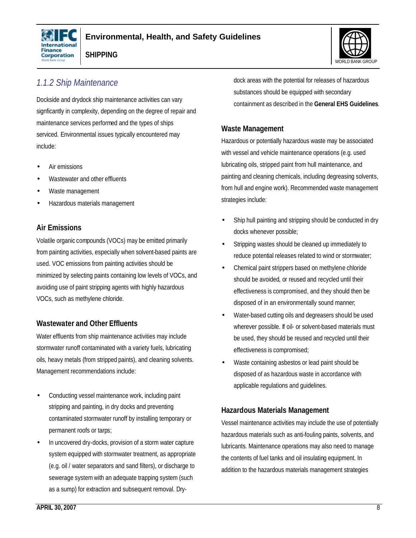



### *1.1.2 Ship Maintenance*

Dockside and drydock ship maintenance activities can vary signficantly in complexity, depending on the degree of repair and maintenance services performed and the types of ships serviced. Environmental issues typically encountered may include:

- Air emissions
- Wastewater and other effluents
- Waste management
- Hazardous materials management

#### **Air Emissions**

Volatile organic compounds (VOCs) may be emitted primarily from painting activities, especially when solvent-based paints are used. VOC emissions from painting activities should be minimized by selecting paints containing low levels of VOCs, and avoiding use of paint stripping agents with highly hazardous VOCs, such as methylene chloride.

#### **Wastewater and Other Effluents**

Water effluents from ship maintenance activities may include stormwater runoff contaminated with a variety fuels, lubricating oils, heavy metals (from stripped paints), and cleaning solvents. Management recommendations include:

- Conducting vessel maintenance work, including paint stripping and painting, in dry docks and preventing contaminated stormwater runoff by installing temporary or permanent roofs or tarps;
- In uncovered dry-docks, provision of a storm water capture system equipped with stormwater treatment, as appropriate (e.g. oil / water separators and sand filters), or discharge to sewerage system with an adequate trapping system (such as a sump) for extraction and subsequent removal. Dry-

dock areas with the potential for releases of hazardous substances should be equipped with secondary containment as described in the **General EHS Guidelines**.

#### **Waste Management**

Hazardous or potentially hazardous waste may be associated with vessel and vehicle maintenance operations (e.g. used lubricating oils, stripped paint from hull maintenance, and painting and cleaning chemicals, including degreasing solvents, from hull and engine work). Recommended waste management strategies include:

- Ship hull painting and stripping should be conducted in dry docks whenever possible;
- Stripping wastes should be cleaned up immediately to reduce potential releases related to wind or stormwater;
- Chemical paint strippers based on methylene chloride should be avoided, or reused and recycled until their effectiveness is compromised, and they should then be disposed of in an environmentally sound manner;
- Water-based cutting oils and degreasers should be used wherever possible. If oil- or solvent-based materials must be used, they should be reused and recycled until their effectiveness is compromised;
- Waste containing asbestos or lead paint should be disposed of as hazardous waste in accordance with applicable regulations and guidelines.

#### **Hazardous Materials Management**

Vessel maintenance activities may include the use of potentially hazardous materials such as anti-fouling paints, solvents, and lubricants. Maintenance operations may also need to manage the contents of fuel tanks and oil insulating equipment. In addition to the hazardous materials management strategies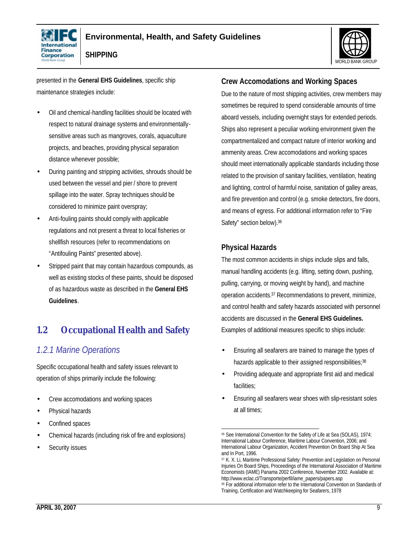



presented in the **General EHS Guidelines**, specific ship maintenance strategies include:

- Oil and chemical-handling facilities should be located with respect to natural drainage systems and environmentallysensitive areas such as mangroves, corals, aquaculture projects, and beaches, providing physical separation distance whenever possible;
- During painting and stripping activities, shrouds should be used between the vessel and pier / shore to prevent spillage into the water. Spray techniques should be considered to minimize paint overspray;
- Anti-fouling paints should comply with applicable regulations and not present a threat to local fisheries or shellfish resources (refer to recommendations on "Antifouling Paints" presented above).
- Stripped paint that may contain hazardous compounds, as well as existing stocks of these paints, should be disposed of as hazardous waste as described in the **General EHS Guidelines**.

# **1.2 Occupational Health and Safety**

### *1.2.1 Marine Operations*

Specific occupational health and safety issues relevant to operation of ships primarily include the following:

- Crew accomodations and working spaces
- Physical hazards
- Confined spaces
- Chemical hazards (including risk of fire and explosions)
- Security issues

#### **Crew Accomodations and Working Spaces**

Due to the nature of most shipping activities, crew members may sometimes be required to spend considerable amounts of time aboard vessels, including overnight stays for extended periods. Ships also represent a peculiar working environment given the compartmentalized and compact nature of interior working and ammenity areas. Crew accomodations and working spaces should meet internationally applicable standards including those related to the provision of sanitary facilities, ventilation, heating and lighting, control of harmful noise, sanitation of galley areas, and fire prevention and control (e.g. smoke detectors, fire doors, and means of egress. For additional information refer to "Fire Safety" section below).<sup>36</sup>

#### **Physical Hazards**

The most common accidents in ships include slips and falls, manual handling accidents (e.g. lifting, setting down, pushing, pulling, carrying, or moving weight by hand), and machine operation accidents.37 Recommendations to prevent, minimize, and control health and safety hazards associated with personnel accidents are discussed in the **General EHS Guidelines.** Examples of additional measures specific to ships include:

- Ensuring all seafarers are trained to manage the types of hazards applicable to their assigned responsibilities;<sup>38</sup>
- Providing adequate and appropriate first aid and medical facilities:
- Ensuring all seafarers wear shoes with slip-resistant soles at all times;

 <sup>36</sup> See International Convention for the Safety of Life at Sea (SOLAS), 1974; International Labour Conference, Maritime Labour Convention, 2006; and International Labour Organization, Accident Prevention On Board Ship At Sea and In Port, 1996.

<sup>37</sup> K. X. Li, Maritime Professional Safety: Prevention and Legislation on Personal Injuries On Board Ships, Proceedings of the International Association of Maritime Economists (IAME) Panama 2002 Conference, November 2002. Available at: http://www.eclac.cl/Transporte/perfil/iame\_papers/papers.asp 38 For additional information refer to the International Convention on Standards of

Training, Certification and Watchkeeping for Seafarers, 1978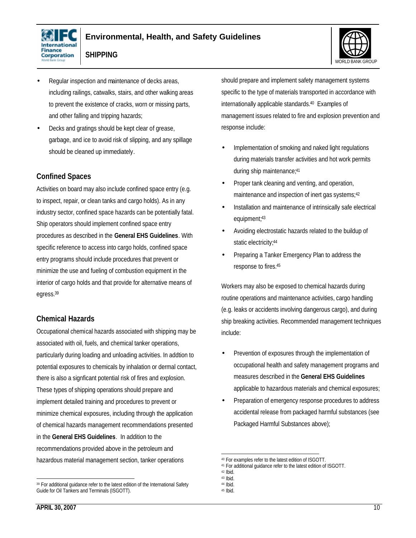



- **SHIPPING**
- Regular inspection and maintenance of decks areas, including railings, catwalks, stairs, and other walking areas to prevent the existence of cracks, worn or missing parts, and other falling and tripping hazards;
- Decks and gratings should be kept clear of grease, garbage, and ice to avoid risk of slipping, and any spillage should be cleaned up immediately.

#### **Confined Spaces**

Activities on board may also include confined space entry (e.g. to inspect, repair, or clean tanks and cargo holds). As in any industry sector, confined space hazards can be potentially fatal. Ship operators should implement confined space entry procedures as described in the **General EHS Guidelines**. With specific reference to access into cargo holds, confined space entry programs should include procedures that prevent or minimize the use and fueling of combustion equipment in the interior of cargo holds and that provide for alternative means of egress.<sup>39</sup>

#### **Chemical Hazards**

Occupational chemical hazards associated with shipping may be associated with oil, fuels, and chemical tanker operations, particularly during loading and unloading activities. In addtion to potential exposures to chemicals by inhalation or dermal contact, there is also a signficant potential risk of fires and explosion. These types of shipping operations should prepare and implement detailed training and procedures to prevent or minimize chemical exposures, including through the application of chemical hazards management recommendations presented in the **General EHS Guidelines**. In addition to the recommendations provided above in the petroleum and hazardous material management section, tanker operations

should prepare and implement safety management systems specific to the type of materials transported in accordance with internationally applicable standards.40 Examples of management issues related to fire and explosion prevention and response include:

- Implementation of smoking and naked light regulations during materials transfer activities and hot work permits during ship maintenance;<sup>41</sup>
- Proper tank cleaning and venting, and operation, maintenance and inspection of inert gas systems;<sup>42</sup>
- Installation and maintenance of intrinsically safe electrical equipment;<sup>43</sup>
- Avoiding electrostatic hazards related to the buildup of static electricity;<sup>44</sup>
- Preparing a Tanker Emergency Plan to address the response to fires.<sup>45</sup>

Workers may also be exposed to chemical hazards during routine operations and maintenance activities, cargo handling (e.g. leaks or accidents involving dangerous cargo), and during ship breaking activities. Recommended management techniques include:

- Prevention of exposures through the implementation of occupational health and safety management programs and measures described in the **General EHS Guidelines** applicable to hazardous materials and chemical exposures;
- Preparation of emergency response procedures to address accidental release from packaged harmful substances (see Packaged Harmful Substances above);

<sup>&</sup>lt;sup>39</sup> For additional quidance refer to the latest edition of the International Safety Guide for Oil Tankers and Terminals (ISGOTT).

 <sup>40</sup> For examples refer to the latest edition of ISGOTT.

<sup>41</sup> For additional guidance refer to the latest edition of ISGOTT.

<sup>42</sup> Ibid.

<sup>43</sup> Ibid.

<sup>44</sup> Ibid.

<sup>45</sup> Ibid.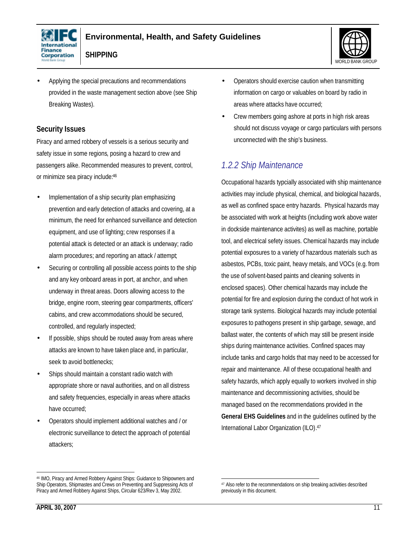



- **SHIPPING**
- Applying the special precautions and recommendations provided in the waste management section above (see Ship Breaking Wastes).

#### **Security Issues**

Piracy and armed robbery of vessels is a serious security and safety issue in some regions, posing a hazard to crew and passengers alike. Recommended measures to prevent, control, or minimize sea piracy include:<sup>46</sup>

- Implementation of a ship security plan emphasizing prevention and early detection of attacks and covering, at a minimum, the need for enhanced surveillance and detection equipment, and use of lighting; crew responses if a potential attack is detected or an attack is underway; radio alarm procedures; and reporting an attack / attempt;
- Securing or controlling all possible access points to the ship and any key onboard areas in port, at anchor, and when underway in threat areas. Doors allowing access to the bridge, engine room, steering gear compartments, officers' cabins, and crew accommodations should be secured, controlled, and regularly inspected;
- If possible, ships should be routed away from areas where attacks are known to have taken place and, in particular, seek to avoid bottlenecks;
- Ships should maintain a constant radio watch with appropriate shore or naval authorities, and on all distress and safety frequencies, especially in areas where attacks have occurred;
- Operators should implement additional watches and / or electronic surveillance to detect the approach of potential attackers;

• Crew members going ashore at ports in high risk areas should not discuss voyage or cargo particulars with persons unconnected with the ship's business.

### *1.2.2 Ship Maintenance*

Occupational hazards typcially associated with ship maintenance activities may include physical, chemical, and biological hazards, as well as confined space entry hazards. Physical hazards may be associated with work at heights (including work above water in dockside maintenance activites) as well as machine, portable tool, and electrical sefety issues. Chemical hazards may include potential exposures to a variety of hazardous materials such as asbestos, PCBs, toxic paint, heavy metals, and VOCs (e.g. from the use of solvent-based paints and cleaning solvents in enclosed spaces). Other chemical hazards may include the potential for fire and explosion during the conduct of hot work in storage tank systems. Biological hazards may include potential exposures to pathogens present in ship garbage, sewage, and ballast water, the contents of which may still be present inside ships during maintenance activities. Confined spaces may include tanks and cargo holds that may need to be accessed for repair and maintenance. All of these occupational health and safety hazards, which apply equally to workers involved in ship maintenance and decommissioning activities, should be managed based on the recommendations provided in the **General EHS Guidelines** and in the guidelines outlined by the International Labor Organization (ILO). 47

<sup>•</sup> Operators should exercise caution when transmitting information on cargo or valuables on board by radio in areas where attacks have occurred;

<sup>46</sup> IMO, Piracy and Armed Robbery Against Ships: Guidance to Shipowners and Ship Operators, Shipmastes and Crews on Preventing and Suppressing Acts of Piracy and Armed Robbery Against Ships, Circular 623/Rev 3, May 2002.

 <sup>47</sup> Also refer to the recommendations on ship breaking activities described previously in this document.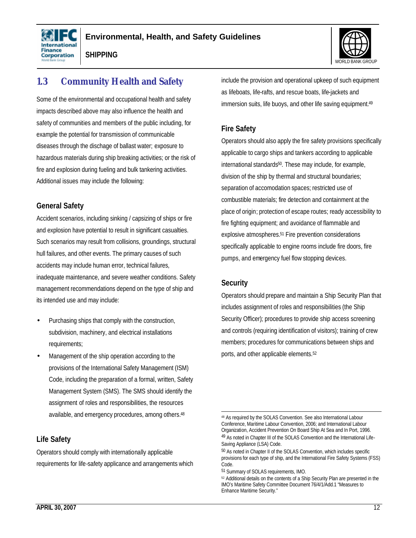





### **1.3 Community Health and Safety**

Some of the environmental and occupational health and safety impacts described above may also influence the health and safety of communities and members of the public including, for example the potential for transmission of communicable diseases through the dischage of ballast water; exposure to hazardous materials during ship breaking activities; or the risk of fire and explosion during fueling and bulk tankering activities. Additional issues may include the following:

#### **General Safety**

Accident scenarios, including sinking / capsizing of ships or fire and explosion have potential to result in significant casualties. Such scenarios may result from collisions, groundings, structural hull failures, and other events. The primary causes of such accidents may include human error, technical failures, inadequate maintenance, and severe weather conditions. Safety management recommendations depend on the type of ship and its intended use and may include:

- Purchasing ships that comply with the construction, subdivision, machinery, and electrical installations requirements;
- Management of the ship operation according to the provisions of the International Safety Management (ISM) Code, including the preparation of a formal, written, Safety Management System (SMS). The SMS should identify the assignment of roles and responsibilities, the resources available, and emergency procedures, among others. 48

#### **Life Safety**

Operators should comply with internationally applicable requirements for life-safety applicance and arrangements which include the provision and operational upkeep of such equipment as lifeboats, life-rafts, and rescue boats, life-jackets and immersion suits, life buoys, and other life saving equipment.<sup>49</sup>

#### **Fire Safety**

Operators should also apply the fire safety provisions specifically applicable to cargo ships and tankers according to applicable international standards50. These may include, for example, division of the ship by thermal and structural boundaries; separation of accomodation spaces; restricted use of combustible materials; fire detection and containment at the place of origin; protection of escape routes; ready accessibility to fire fighting equipment; and avoidance of flammable and explosive atmospheres.<sup>51</sup> Fire prevention considerations specifically applicable to engine rooms include fire doors, fire pumps, and emergency fuel flow stopping devices.

#### **Security**

Operators should prepare and maintain a Ship Security Plan that includes assignment of roles and responsibilities (the Ship Security Officer); procedures to provide ship access screening and controls (requiring identification of visitors); training of crew members; procedures for communications between ships and ports, and other applicable elements.<sup>52</sup>

 <sup>48</sup> As required by the SOLAS Convention. See also International Labour Conference, Maritime Labour Convention, 2006; and International Labour Organization, Accident Prevention On Board Ship At Sea and In Port, 1996. 49 As noted in Chapter III of the SOLAS Convention and the International Life-Saving Appliance (LSA) Code.

<sup>50</sup> As noted in Chapter II of the SOLAS Convention, which includes specific provisions for each type of ship, and the International Fire Safety Systems (FSS) Code.

<sup>51</sup> Summary of SOLAS requirements, IMO.

<sup>52</sup> Additional details on the contents of a Ship Security Plan are presented in the IMO's Maritime Safety Committee Document 76/4/1/Add.1 "Measures to Enhance Maritime Security."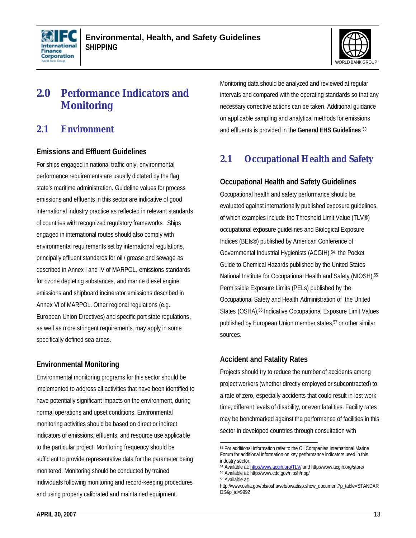



# **2.0 Performance Indicators and Monitoring**

### **2.1 Environment**

#### **Emissions and Effluent Guidelines**

For ships engaged in national traffic only, environmental performance requirements are usually dictated by the flag state's maritime administration. Guideline values for process emissions and effluents in this sector are indicative of good international industry practice as reflected in relevant standards of countries with recognized regulatory frameworks. Ships engaged in international routes should also comply with environmental requirements set by international regulations, principally effluent standards for oil / grease and sewage as described in Annex I and IV of MARPOL, emissions standards for ozone depleting substances, and marine diesel engine emissions and shipboard incinerator emissions described in Annex VI of MARPOL. Other regional regulations (e.g. European Union Directives) and specific port state regulations, as well as more stringent requirements, may apply in some specifically defined sea areas.

#### **Environmental Monitoring**

Environmental monitoring programs for this sector should be implemented to address all activities that have been identified to have potentially significant impacts on the environment, during normal operations and upset conditions. Environmental monitoring activities should be based on direct or indirect indicators of emissions, effluents, and resource use applicable to the particular project. Monitoring frequency should be sufficient to provide representative data for the parameter being monitored. Monitoring should be conducted by trained individuals following monitoring and record-keeping procedures and using properly calibrated and maintained equipment.

Monitoring data should be analyzed and reviewed at regular intervals and compared with the operating standards so that any necessary corrective actions can be taken. Additional guidance on applicable sampling and analytical methods for emissions and effluents is provided in the **General EHS Guidelines**. 53

### **2.1 Occupational Health and Safety**

#### **Occupational Health and Safety Guidelines**

Occupational health and safety performance should be evaluated against internationally published exposure guidelines, of which examples include the Threshold Limit Value (TLV®) occupational exposure guidelines and Biological Exposure Indices (BEIs®) published by American Conference of Governmental Industrial Hygienists (ACGIH),54 the Pocket Guide to Chemical Hazards published by the United States National Institute for Occupational Health and Safety (NIOSH), 55 Permissible Exposure Limits (PELs) published by the Occupational Safety and Health Administration of the United States (OSHA),<sup>56</sup> Indicative Occupational Exposure Limit Values published by European Union member states,<sup>57</sup> or other similar sources.

#### **Accident and Fatality Rates**

Projects should try to reduce the number of accidents among project workers (whether directly employed or subcontracted) to a rate of zero, especially accidents that could result in lost work time, different levels of disability, or even fatalities. Facility rates may be benchmarked against the performance of facilities in this sector in developed countries through consultation with

<sup>53</sup> For additional information refer to the Oil Companies International Marine Forum for additional information on key performance indicators used in this industry sector.

<sup>54</sup> Available at: http://www.acgih.org/TLV/ and http://www.acgih.org/store/ <sup>55</sup> Available at: http://www.cdc.gov/niosh/npg/

<sup>56</sup> Available at:

http://www.osha.gov/pls/oshaweb/owadisp.show\_document?p\_table=STANDAR DS&p\_id=9992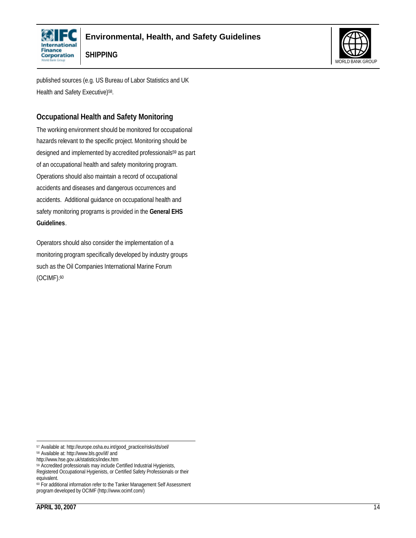



published sources (e.g. US Bureau of Labor Statistics and UK Health and Safety Executive)<sup>58</sup>.

### **Occupational Health and Safety Monitoring**

The working environment should be monitored for occupational hazards relevant to the specific project. Monitoring should be designed and implemented by accredited professionals<sup>59</sup> as part of an occupational health and safety monitoring program. Operations should also maintain a record of occupational accidents and diseases and dangerous occurrences and accidents. Additional guidance on occupational health and safety monitoring programs is provided in the **General EHS Guidelines**.

Operators should also consider the implementation of a monitoring program specifically developed by industry groups such as the Oil Companies International Marine Forum (OCIMF).<sup>60</sup>

<sup>57</sup> Available at: http://europe.osha.eu.int/good\_practice/risks/ds/oel/

<sup>58</sup> Available at: http://www.bls.gov/iif/ and

http://www.hse.gov.uk/statistics/index.htm

<sup>&</sup>lt;sup>59</sup> Accredited professionals may include Certified Industrial Hygienists,

Registered Occupational Hygienists, or Certified Safety Professionals or their equivalent.

<sup>60</sup> For additional information refer to the Tanker Management Self Assessment program developed by OCIMF (http://www.ocimf.com/)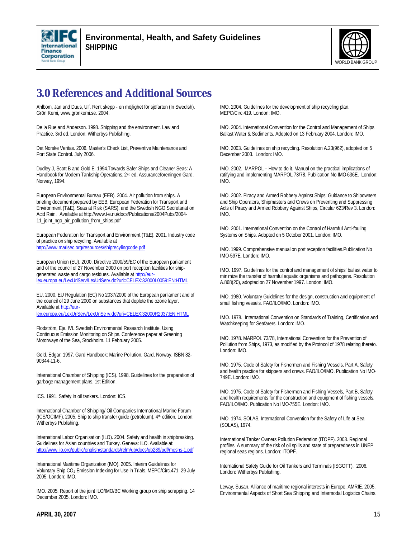



# **3.0 References and Additional Sources**

Ahlbom, Jan and Duus, Ulf. Rent skepp - en möjlighet för sjöfarten (In Swedish). Grön Kemi, www.gronkemi.se. 2004.

De la Rue and Anderson. 1998. Shipping and the environment. Law and Practice. 3rd ed. London: Witherbys Publishing.

Det Norske Veritas. 2006. Master's Check List, Preventive Maintenance and Port State Control. July 2006.

Dudley J, Scott B and Gold E. 1994.Towards Safer Ships and Cleaner Seas: A Handbook for Modern Tankship Operations, 2<sup>nd</sup> ed, Assuranceforeningen Gard, Norway, 1994.

European Environmental Bureau (EEB). 2004. Air pollution from ships. A briefing document prepared by EEB, European Federation for Transport and Environment (T&E), Seas at Risk (SARS), and the Swedish NGO Secretariat on Acid Rain. Available at http://www.t-e.nu/docs/Publications/2004Pubs/2004-11\_joint\_ngo\_air\_pollution\_from\_ships.pdf

European Federation for Transport and Environment (T&E). 2001. Industry code of practice on ship recycling. Available at http://www.marisec.org/resources/shiprecylingcode.pdf

European Union (EU). 2000. Directive 2000/59/EC of the European parliament and of the council of 27 November 2000 on port reception facilities for ship-

generated waste and cargo residues. Available at http://eurlex.europa.eu/LexUriServ/LexUriServ.do?uri=CELEX:32000L0059:EN:HTML

EU. 2000. EU Regulation (EC) No 2037/2000 of the European parliament and of the council of 29 June 2000 on substances that deplete the ozone layer. Available at http://eurlex.europa.eu/LexUriServ/LexUriServ.do?uri=CELEX:32000R2037:EN:HTML

Flodström, Eje. IVL Swedish Environmental Research Institute. Using Continuous Emission Monitoring on Ships. Conference paper at Greening Motorways of the Sea, Stockholm. 11 February 2005.

Gold, Edgar. 1997. Gard Handbook: Marine Pollution. Gard, Norway. ISBN 82- 90344-11-6.

International Chamber of Shipping (ICS). 1998. Guidelines for the preparation of garbage management plans. 1st Edition.

ICS. 1991. Safety in oil tankers. London: ICS.

International Chamber of Shipping/ Oil Companies International Marine Forum (ICS/OCIMF). 2005. Ship to ship transfer guide (petroleum). 4<sup>th</sup> edition. London: Witherbys Publishing.

International Labor Organisation (ILO). 2004. Safety and health in shipbreaking. Guidelines for Asian countries and Turkey. Geneva: ILO. Available at: http://www.ilo.org/public/english/standards/relm/gb/docs/gb289/pdf/meshs-1.pdf

International Maritime Organization (IMO). 2005. Interim Guidelines for Voluntary Ship CO2 Emission Indexing for Use in Trials. MEPC/Circ.471. 29 July 2005. London: IMO.

IMO. 2005. Report of the joint ILO/IMO/BC Working group on ship scrapping. 14 December 2005. London: IMO.

IMO. 2004. Guidelines for the development of ship recycling plan. MEPC/Circ.419. London: IMO.

IMO. 2004. International Convention for the Control and Management of Ships Ballast Water & Sediments. Adopted on 13 February 2004. London: IMO.

IMO. 2003. Guidelines on ship recycling. Resolution A.23(962), adopted on 5 December 2003. London: IMO.

IMO. 2002. MARPOL – How to do it. Manual on the practical implications of ratifying and implementing MARPOL 73/78. Publication No IMO-636E. London: IMO.

IMO. 2002. Piracy and Armed Robbery Against Ships: Guidance to Shipowners and Ship Operators, Shipmasters and Crews on Preventing and Suppressing Acts of Piracy and Armed Robbery Against Ships, Circular 623/Rev 3. London: IMO.

IMO. 2001. International Convention on the Control of Harmful Anti-fouling Systems on Ships. Adopted on 5 October 2001. London: IMO.

IMO. 1999. Comprehensive manual on port reception facilities.Publication No IMO-597E. London: IMO.

IMO. 1997. Guidelines for the control and management of ships' ballast water to minimize the transfer of harmful aquatic organisms and pathogens. Resolution A.868(20), adopted on 27 November 1997. London: IMO.

IMO. 1980. Voluntary Guidelines for the design, construction and equipment of small fishing vessels. FAO/ILO/IMO. London: IMO.

IMO. 1978. International Convention on Standards of Training, Certification and Watchkeeping for Seafarers. London: IMO.

IMO. 1978. MARPOL 73/78, International Convention for the Prevention of Pollution from Ships, 1973, as modified by the Protocol of 1978 relating thereto. London: IMO.

IMO. 1975. Code of Safety for Fishermen and Fishing Vessels, Part A, Safety and health practice for skippers and crews. FAO/ILO/IMO. Publication No IMO-749E. London: IMO.

IMO. 1975. Code of Safety for Fishermen and Fishing Vessels, Part B, Safety and health requirements for the construction and equipment of fishing vessels, FAO/ILO/IMO. Publication No IMO-755E. London: IMO.

IMO. 1974. SOLAS, International Convention for the Safety of Life at Sea (SOLAS), 1974.

International Tanker Owners Pollution Federation (ITOPF). 2003. Regional profiles. A summary of the risk of oil spills and state of preparedness in UNEP regional seas regions. London: ITOPF.

International Safety Guide for Oil Tankers and Terminals (ISGOTT). 2006. London: Witherbys Publishing.

Leway, Susan. Alliance of maritime regional interests in Europe, AMRIE. 2005. Environmental Aspects of Short Sea Shipping and Intermodal Logistics Chains.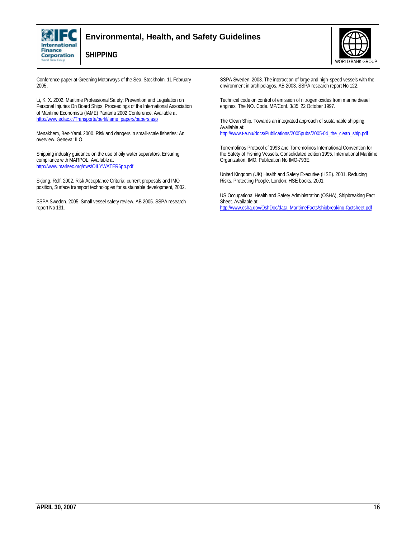

#### **Environmental, Health, and Safety Guidelines**



**SHIPPING**

Conference paper at Greening Motorways of the Sea, Stockholm. 11 February 2005.

Li, K. X. 2002. Maritime Professional Safety: Prevention and Legislation on Personal Injuries On Board Ships, Proceedings of the International Association of Maritime Economists (IAME) Panama 2002 Conference. Available at http://www.eclac.cl/Transporte/perfil/iame\_papers/papers.asp

Menakhem, Ben-Yami. 2000. Risk and dangers in small-scale fisheries: An overview. Geneva: ILO.

Shipping industry guidance on the use of oily water separators. Ensuring compliance with MARPOL. Available at http://www.marisec.org/ows/OILYWATER6pp.pdf

Skjong, Rolf. 2002. Risk Acceptance Criteria: current proposals and IMO position, Surface transport technologies for sustainable development, 2002.

SSPA Sweden. 2005. Small vessel safety review. AB 2005. SSPA research report No 131.

SSPA Sweden. 2003. The interaction of large and high-speed vessels with the environment in archipelagos. AB 2003. SSPA research report No 122.

Technical code on control of emission of nitrogen oxides from marine diesel engines. The NO<sub>x</sub> Code. MP/Conf. 3/35. 22 October 1997.

The Clean Ship. Towards an integrated approach of sustainable shipping. Available at:

http://www.t-e.nu/docs/Publications/2005pubs/2005-04\_the\_clean\_ship.pdf

Torremolinos Protocol of 1993 and Torremolinos International Convention for the Safety of Fishing Vessels. Consolidated edition 1995. International Maritime Organization, IMO. Publication No IMO-793E.

United Kingdom (UK) Health and Safety Executive (HSE). 2001. Reducing Risks, Protecting People. London: HSE books, 2001.

US Occupational Health and Safety Administration (OSHA), Shipbreaking Fact Sheet. Available at: http://www.osha.gov/OshDoc/data\_MaritimeFacts/shipbreaking-factsheet.pdf

**APRIL 30, 2007** 16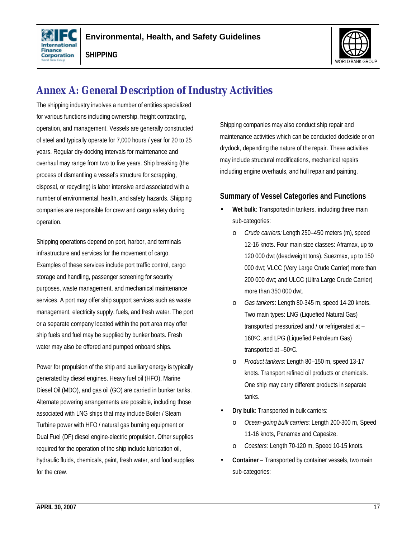



# **Annex A: General Description of Industry Activities**

The shipping industry involves a number of entities specialized for various functions including ownership, freight contracting, operation, and management. Vessels are generally constructed of steel and typically operate for 7,000 hours / year for 20 to 25 years. Regular dry-docking intervals for maintenance and overhaul may range from two to five years. Ship breaking (the process of dismantling a vessel's structure for scrapping, disposal, or recycling) is labor intensive and associated with a number of environmental, health, and safety hazards. Shipping companies are responsible for crew and cargo safety during operation.

Shipping operations depend on port, harbor, and terminals infrastructure and services for the movement of cargo. Examples of these services include port traffic control, cargo storage and handling, passenger screening for security purposes, waste management, and mechanical maintenance services. A port may offer ship support services such as waste management, electricity supply, fuels, and fresh water. The port or a separate company located within the port area may offer ship fuels and fuel may be supplied by bunker boats. Fresh water may also be offered and pumped onboard ships.

Power for propulsion of the ship and auxiliary energy is typically generated by diesel engines. Heavy fuel oil (HFO), Marine Diesel Oil (MDO), and gas oil (GO) are carried in bunker tanks. Alternate powering arrangements are possible, including those associated with LNG ships that may include Boiler / Steam Turbine power with HFO / natural gas burning equipment or Dual Fuel (DF) diesel engine-electric propulsion. Other supplies required for the operation of the ship include lubrication oil, hydraulic fluids, chemicals, paint, fresh water, and food supplies for the crew.

Shipping companies may also conduct ship repair and maintenance activities which can be conducted dockside or on drydock, depending the nature of the repair. These activities may include structural modifications, mechanical repairs including engine overhauls, and hull repair and painting.

#### **Summary of Vessel Categories and Functions**

- Wet bulk: Transported in tankers, including three main sub-categories:
	- o *Crude carriers:* Length 250–450 meters (m), speed 12-16 knots. Four main size classes: Aframax, up to 120 000 dwt (deadweight tons), Suezmax, up to 150 000 dwt; VLCC (Very Large Crude Carrier) more than 200 000 dwt; and ULCC (Ultra Large Crude Carrier) more than 350 000 dwt.
	- o *Gas tankers*: Length 80-345 m, speed 14-20 knots. Two main types: LNG (Liquefied Natural Gas) transported pressurized and / or refrigerated at – 160°C, and LPG (Liquefied Petroleum Gas) transported at –50oC.
	- o *Product tankers*: Length 80–150 m, speed 13-17 knots. Transport refined oil products or chemicals. One ship may carry different products in separate tanks.
- **Dry bulk**: Transported in bulk carriers:
	- o *Ocean-going bulk carriers*: Length 200-300 m, Speed 11-16 knots, Panamax and Capesize.
	- o *Coasters*: Length 70-120 m, Speed 10-15 knots.
- **Container** Transported by container vessels, two main sub-categories: